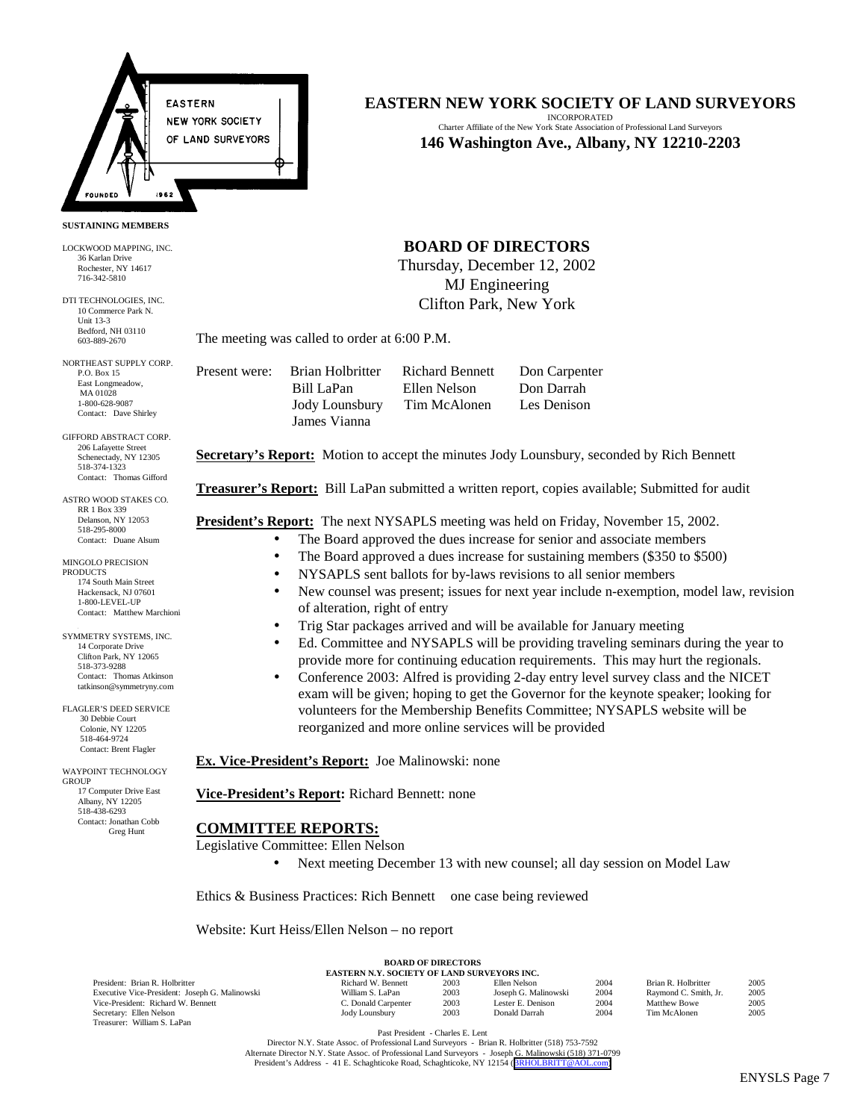

### **SUSTAINING MEMBERS**

LOCKWOOD MAPPING, INC. 36 Karlan Drive Rochester, NY 14617 716-342-5810

DTI TECHNOLOGIES, INC. 10 Commerce Park N. Unit 13-3 Bedford, NH 03110 603-889-2670

NORTHEAST SUPPLY CORP. P.O. Box 15 East Longmeadow, MA 01028 1-800-628-9087 Contact: Dave Shirley

GIFFORD ABSTRACT CORP. 206 Lafayette Street Schenectady, NY 12305 518-374-1323 Contact: Thomas Gifford

ASTRO WOOD STAKES CO. RR 1 Box 339 Delanson, NY 12053 518-295-8000 Contact: Duane Alsum

MINGOLO PRECISION **PRODUCTS** 174 South Main Street Hackensack, NJ 07601 1-800-LEVEL-UP Contact: Matthew Marchioni

3 SYMMETRY SYSTEMS, INC. 14 Corporate Drive Clifton Park, NY 12065 518-373-9288 Contact: Thomas Atkinson tatkinson@symmetryny.com

FLAGLER'S DEED SERVICE 30 Debbie Court Colonie, NY 12205 518-464-9724 Contact: Brent Flagler

WAYPOINT TECHNOLOGY GROUP 17 Computer Drive East Albany, NY 12205 518-438-6293 Contact: Jonathan Cobb Greg Hunt

# **EASTERN NEW YORK SOCIETY OF LAND SURVEYORS**

INCORPORATED Charter Affiliate of the New York State Association of Professional Land Surveyors **146 Washington Ave., Albany, NY 12210-2203**

## **BOARD OF DIRECTORS**

Thursday, December 12, 2002 MJ Engineering Clifton Park, New York

The meeting was called to order at 6:00 P.M.

Present were: Brian Holbritter Richard Bennett Don Carpenter James Vianna

 Bill LaPan Ellen Nelson Don Darrah Jody Lounsbury Tim McAlonen Les Denison

**Secretary's Report:** Motion to accept the minutes Jody Lounsbury, seconded by Rich Bennett

**Treasurer's Report:** Bill LaPan submitted a written report, copies available; Submitted for audit

**President's Report:** The next NYSAPLS meeting was held on Friday, November 15, 2002.

- The Board approved the dues increase for senior and associate members
- The Board approved a dues increase for sustaining members (\$350 to \$500)
	- NYSAPLS sent ballots for by-laws revisions to all senior members
- New counsel was present; issues for next year include n-exemption, model law, revision of alteration, right of entry
- Trig Star packages arrived and will be available for January meeting
- Ed. Committee and NYSAPLS will be providing traveling seminars during the year to provide more for continuing education requirements. This may hurt the regionals.
- Conference 2003: Alfred is providing 2-day entry level survey class and the NICET exam will be given; hoping to get the Governor for the keynote speaker; looking for volunteers for the Membership Benefits Committee; NYSAPLS website will be reorganized and more online services will be provided

**Ex. Vice-President's Report:** Joe Malinowski: none

**Vice-President's Report:** Richard Bennett: none

## **COMMITTEE REPORTS:**

Legislative Committee: Ellen Nelson

Next meeting December 13 with new counsel; all day session on Model Law

Ethics & Business Practices: Rich Bennett one case being reviewed

Website: Kurt Heiss/Ellen Nelson – no report

| <b>EASTERN N.Y. SOCIETY OF LAND SURVEYORS INC.</b> |                     |      |                      |      |                       |      |  |
|----------------------------------------------------|---------------------|------|----------------------|------|-----------------------|------|--|
| President: Brian R. Holbritter                     | Richard W. Bennett  | 2003 | Ellen Nelson         | 2004 | Brian R. Holbritter   | 2005 |  |
| Executive Vice-President: Joseph G. Malinowski     | William S. LaPan    | 2003 | Joseph G. Malinowski | 2004 | Raymond C. Smith, Jr. | 2005 |  |
| Vice-President: Richard W. Bennett                 | C. Donald Carpenter | 2003 | Lester E. Denison    | 2004 | <b>Matthew Bowe</b>   | 2005 |  |
| Secretary: Ellen Nelson                            | Jody Lounsbury      | 2003 | Donald Darrah        | 2004 | Tim McAlonen          | 2005 |  |
| Treasurer: William S. LaPan                        |                     |      |                      |      |                       |      |  |

**BOARD OF DIRECTORS**

Past President - Charles E. Lent

Director N.Y. State Assoc. of Professional Land Surveyors - Brian R. Holbritter (518) 753-7592 Alternate Director N.Y. State Assoc. of Professional Land Surveyors - Joseph G. Malinowski (518) 371-0799 President's Address - 41 E. Schaghticoke Road, Schaghticoke, NY 12154 ([BRHOLBRITT@AOL.com\)](mailto:BRHOLBRITT@AOL.com)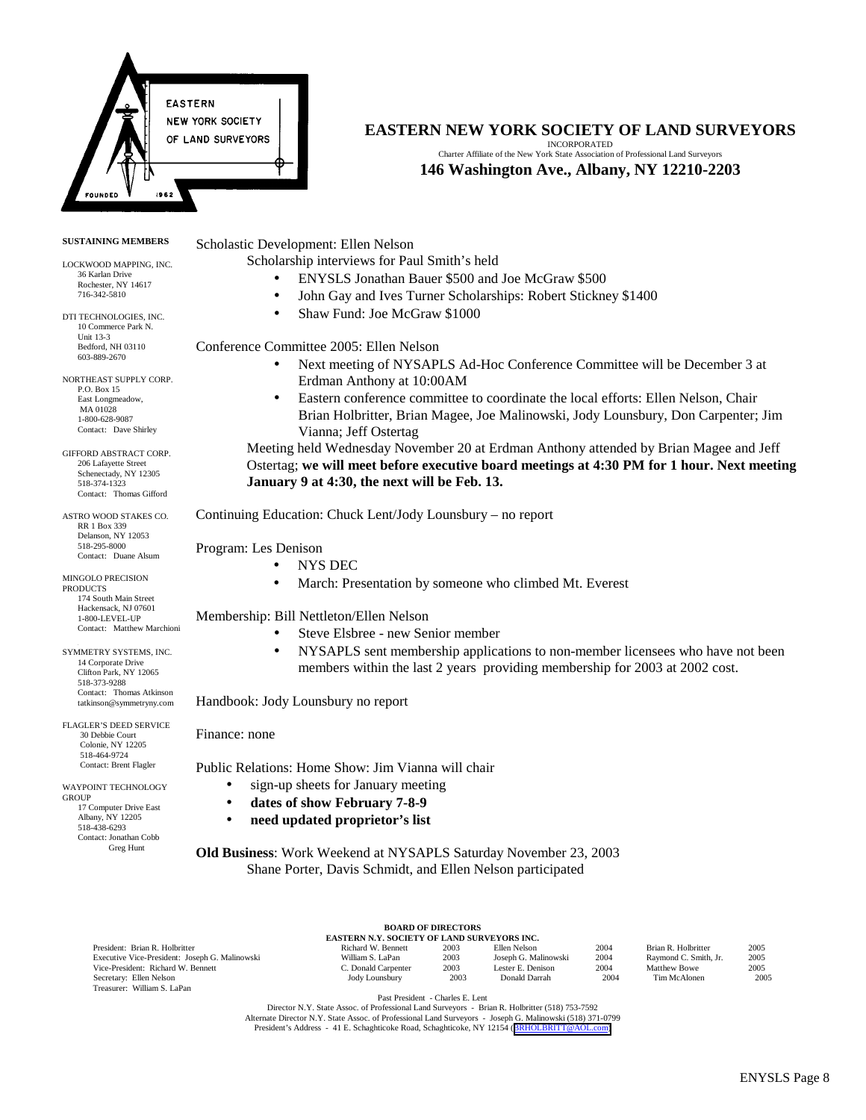

### **SUSTAINING MEMBERS**

LOCKWOOD MAPPING, INC. 36 Karlan Drive Rochester, NY 14617 716-342-5810

DTI TECHNOLOGIES, INC. 10 Commerce Park N. Unit 13-3 Bedford, NH 03110 603-889-2670

NORTHEAST SUPPLY CORP. P.O. Box 15 East Longmeadow, MA 01028 1-800-628-9087 Contact: Dave Shirley

GIFFORD ABSTRACT CORP. 206 Lafayette Street Schenectady, NY 12305 518-374-1323 Contact: Thomas Gifford

ASTRO WOOD STAKES CO. RR 1 Box 339 Delanson, NY 12053 518-295-8000 Contact: Duane Alsum

MINGOLO PRECISION PRODUCTS 174 South Main Street Hackensack, NJ 07601 1-800-LEVEL-UP Contact: Matthew Marchioni

SYMMETRY SYSTEMS, INC. 14 Corporate Drive Clifton Park, NY 12065 518-373-9288 Contact: Thomas Atkinson tatkinson@symmetryny.com

FLAGLER'S DEED SERVICE 30 Debbie Court Colonie, NY 12205 518-464-9724 Contact: Brent Flagler

WAYPOINT TECHNOLOGY GROUP 17 Computer Drive East Albany, NY 12205 518-438-6293 Contact: Jonathan Cobb Greg Hunt

# **EASTERN NEW YORK SOCIETY OF LAND SURVEYORS**

INCORPORATED Charter Affiliate of the New York State Association of Professional Land Surveyors **146 Washington Ave., Albany, NY 12210-2203**

Scholastic Development: Ellen Nelson

Scholarship interviews for Paul Smith's held

- ENYSLS Jonathan Bauer \$500 and Joe McGraw \$500
- John Gay and Ives Turner Scholarships: Robert Stickney \$1400
- Shaw Fund: Joe McGraw \$1000

Conference Committee 2005: Ellen Nelson

- Next meeting of NYSAPLS Ad-Hoc Conference Committee will be December 3 at Erdman Anthony at 10:00AM
- Eastern conference committee to coordinate the local efforts: Ellen Nelson, Chair Brian Holbritter, Brian Magee, Joe Malinowski, Jody Lounsbury, Don Carpenter; Jim Vianna; Jeff Ostertag

Meeting held Wednesday November 20 at Erdman Anthony attended by Brian Magee and Jeff Ostertag; **we will meet before executive board meetings at 4:30 PM for 1 hour. Next meeting January 9 at 4:30, the next will be Feb. 13.**

Continuing Education: Chuck Lent/Jody Lounsbury – no report

Program: Les Denison

- NYS DEC
	- March: Presentation by someone who climbed Mt. Everest

Membership: Bill Nettleton/Ellen Nelson

- Steve Elsbree new Senior member
- NYSAPLS sent membership applications to non-member licensees who have not been members within the last 2 years providing membership for 2003 at 2002 cost.

Handbook: Jody Lounsbury no report

Finance: none

Public Relations: Home Show: Jim Vianna will chair

- sign-up sheets for January meeting
- **dates of show February 7-8-9**
- **need updated proprietor's list**

**Old Business**: Work Weekend at NYSAPLS Saturday November 23, 2003 Shane Porter, Davis Schmidt, and Ellen Nelson participated

| <b>BOARD OF DIRECTORS</b>                          |                     |      |                      |      |                       |      |  |
|----------------------------------------------------|---------------------|------|----------------------|------|-----------------------|------|--|
| <b>EASTERN N.Y. SOCIETY OF LAND SURVEYORS INC.</b> |                     |      |                      |      |                       |      |  |
| President: Brian R. Holbritter                     | Richard W. Bennett  | 2003 | Ellen Nelson         | 2004 | Brian R. Holbritter   | 2005 |  |
| Executive Vice-President: Joseph G. Malinowski     | William S. LaPan    | 2003 | Joseph G. Malinowski | 2004 | Raymond C. Smith, Jr. | 2005 |  |
| Vice-President: Richard W. Bennett                 | C. Donald Carpenter | 2003 | Lester E. Denison    | 2004 | Matthew Bowe          | 2005 |  |
| Secretary: Ellen Nelson                            | Jody Lounsbury      | 2003 | Donald Darrah        | 2004 | Tim McAlonen          | 2005 |  |
| Treasurer: William S. LaPan                        |                     |      |                      |      |                       |      |  |

Past President - Charles E. Lent

Director N.Y. State Assoc. of Professional Land Surveyors - Brian R. Holbritter (518) 753-7592 Alternate Director N.Y. State Assoc. of Professional Land Surveyors - Joseph G. Malinowski (518) 371-0799<br>President's Address - 41 E. Schaghticoke Road, Schaghticoke, NY 12154 ([BRHOLBRITT@AOL.com\)](mailto:BRHOLBRITT@AOL.com)